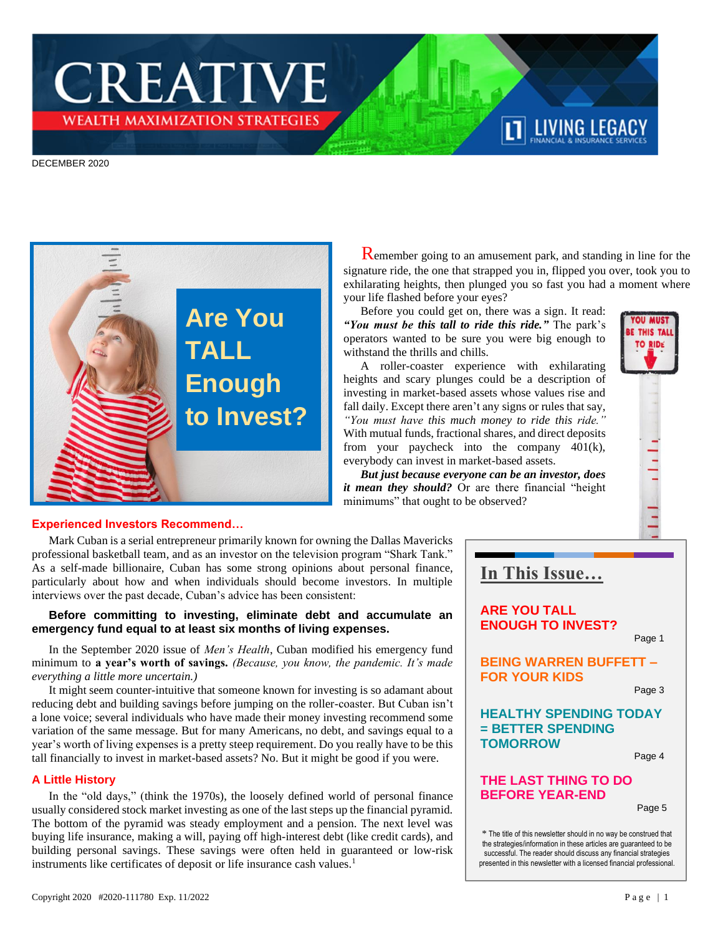# **CREATIVE** wealth maximization strategies\*

#### DECEMBER 2020



 Remember going to an amusement park, and standing in line for the signature ride, the one that strapped you in, flipped you over, took you to exhilarating heights, then plunged you so fast you had a moment where your life flashed before your eyes?

**TT LIVING LEGACY** 

Before you could get on, there was a sign. It read: *"You must be this tall to ride this ride."* The park's operators wanted to be sure you were big enough to withstand the thrills and chills.

A roller-coaster experience with exhilarating heights and scary plunges could be a description of investing in market-based assets whose values rise and fall daily. Except there aren't any signs or rules that say, *"You must have this much money to ride this ride."*  With mutual funds, fractional shares, and direct deposits from your paycheck into the company 401(k), everybody can invest in market-based assets.

*But just because everyone can be an investor, does it mean they should?* Or are there financial "height minimums" that ought to be observed?



#### **Experienced Investors Recommend…**

Mark Cuban is a serial entrepreneur primarily known for owning the Dallas Mavericks professional basketball team, and as an investor on the television program "Shark Tank." As a self-made billionaire, Cuban has some strong opinions about personal finance, particularly about how and when individuals should become investors. In multiple interviews over the past decade, Cuban's advice has been consistent:

#### **Before committing to investing, eliminate debt and accumulate an emergency fund equal to at least six months of living expenses.**

In the September 2020 issue of *Men's Health*, Cuban modified his emergency fund minimum to **a year's worth of savings.** *(Because, you know, the pandemic. It's made everything a little more uncertain.)*

It might seem counter-intuitive that someone known for investing is so adamant about reducing debt and building savings before jumping on the roller-coaster. But Cuban isn't a lone voice; several individuals who have made their money investing recommend some variation of the same message. But for many Americans, no debt, and savings equal to a year's worth of living expenses is a pretty steep requirement. Do you really have to be this tall financially to invest in market-based assets? No. But it might be good if you were.

#### **A Little History**

In the "old days," (think the 1970s), the loosely defined world of personal finance usually considered stock market investing as one of the last steps up the financial pyramid. The bottom of the pyramid was steady employment and a pension. The next level was buying life insurance, making a will, paying off high-interest debt (like credit cards), and building personal savings. These savings were often held in guaranteed or low-risk instruments like certificates of deposit or life insurance cash values.<sup>1</sup>

# **In This Issue…**

**ARE YOU TALL ENOUGH TO INVEST?**

Page 1

### **BEING WARREN BUFFETT – FOR YOUR KIDS**

Page 3

## **HEALTHY SPENDING TODAY = BETTER SPENDING TOMORROW**

Page 4

## **THE LAST THING TO DO BEFORE YEAR-END**

Page 5

\* The title of this newsletter should in no way be construed that the strategies/information in these articles are guaranteed to be successful. The reader should discuss any financial strategies presented in this newsletter with a licensed financial professional.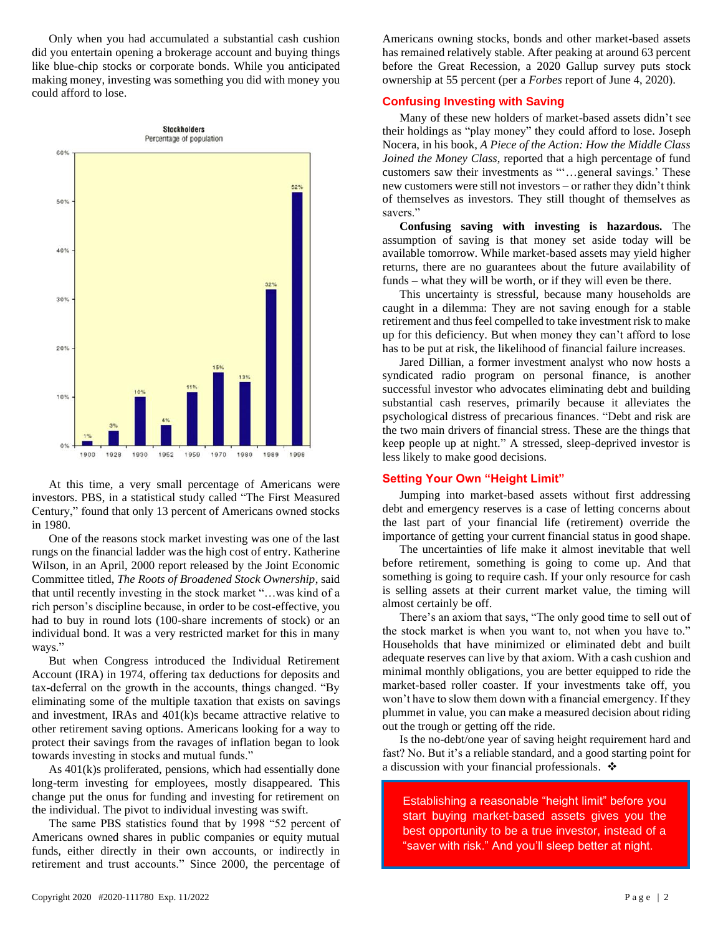Only when you had accumulated a substantial cash cushion did you entertain opening a brokerage account and buying things like blue-chip stocks or corporate bonds. While you anticipated making money, investing was something you did with money you could afford to lose.



At this time, a very small percentage of Americans were investors. PBS, in a statistical study called "The First Measured Century," found that only 13 percent of Americans owned stocks in 1980.

One of the reasons stock market investing was one of the last rungs on the financial ladder was the high cost of entry. Katherine Wilson, in an April, 2000 report released by the Joint Economic Committee titled, *The Roots of Broadened Stock Ownership*, said that until recently investing in the stock market "…was kind of a rich person's discipline because, in order to be cost-effective, you had to buy in round lots (100-share increments of stock) or an individual bond. It was a very restricted market for this in many ways."

But when Congress introduced the Individual Retirement Account (IRA) in 1974, offering tax deductions for deposits and tax-deferral on the growth in the accounts, things changed. "By eliminating some of the multiple taxation that exists on savings and investment, IRAs and 401(k)s became attractive relative to other retirement saving options. Americans looking for a way to protect their savings from the ravages of inflation began to look towards investing in stocks and mutual funds."

As 401(k)s proliferated, pensions, which had essentially done long-term investing for employees, mostly disappeared. This change put the onus for funding and investing for retirement on the individual. The pivot to individual investing was swift.

The same PBS statistics found that by 1998 "52 percent of Americans owned shares in public companies or equity mutual funds, either directly in their own accounts, or indirectly in retirement and trust accounts." Since 2000, the percentage of

Americans owning stocks, bonds and other market-based assets has remained relatively stable. After peaking at around 63 percent before the Great Recession, a 2020 Gallup survey puts stock ownership at 55 percent (per a *Forbes* report of June 4, 2020).

#### **Confusing Investing with Saving**

Many of these new holders of market-based assets didn't see their holdings as "play money" they could afford to lose. Joseph Nocera, in his book, *A Piece of the Action: How the Middle Class Joined the Money Class*, reported that a high percentage of fund customers saw their investments as "'…general savings.' These new customers were still not investors – or rather they didn't think of themselves as investors. They still thought of themselves as savers."

**Confusing saving with investing is hazardous.** The assumption of saving is that money set aside today will be available tomorrow. While market-based assets may yield higher returns, there are no guarantees about the future availability of funds – what they will be worth, or if they will even be there.

This uncertainty is stressful, because many households are caught in a dilemma: They are not saving enough for a stable retirement and thus feel compelled to take investment risk to make up for this deficiency. But when money they can't afford to lose has to be put at risk, the likelihood of financial failure increases.

Jared Dillian, a former investment analyst who now hosts a syndicated radio program on personal finance, is another successful investor who advocates eliminating debt and building substantial cash reserves, primarily because it alleviates the psychological distress of precarious finances. "Debt and risk are the two main drivers of financial stress. These are the things that keep people up at night." A stressed, sleep-deprived investor is less likely to make good decisions.

#### **Setting Your Own "Height Limit"**

Jumping into market-based assets without first addressing debt and emergency reserves is a case of letting concerns about the last part of your financial life (retirement) override the importance of getting your current financial status in good shape.

The uncertainties of life make it almost inevitable that well before retirement, something is going to come up. And that something is going to require cash. If your only resource for cash is selling assets at their current market value, the timing will almost certainly be off.

There's an axiom that says, "The only good time to sell out of the stock market is when you want to, not when you have to." Households that have minimized or eliminated debt and built adequate reserves can live by that axiom. With a cash cushion and minimal monthly obligations, you are better equipped to ride the market-based roller coaster. If your investments take off, you won't have to slow them down with a financial emergency. If they plummet in value, you can make a measured decision about riding out the trough or getting off the ride.

Is the no-debt/one year of saving height requirement hard and fast? No. But it's a reliable standard, and a good starting point for a discussion with your financial professionals. ❖

Establishing a reasonable "height limit" before you start buying market-based assets gives you the best opportunity to be a true investor, instead of a "saver with risk." And you'll sleep better at night.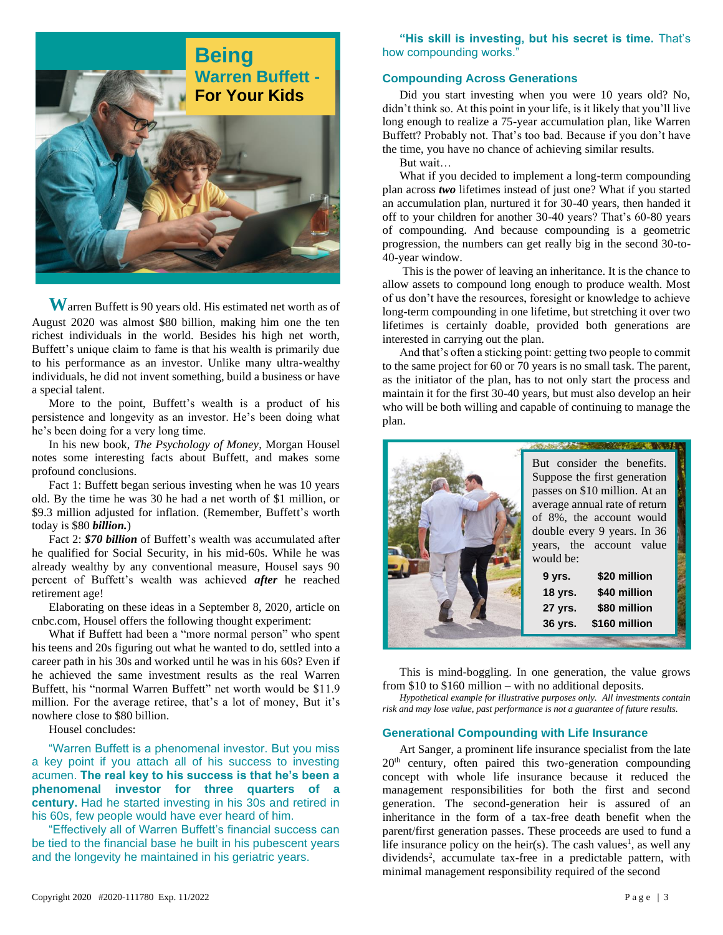

**W**arren Buffett is 90 years old. His estimated net worth as of August 2020 was almost \$80 billion, making him one the ten richest individuals in the world. Besides his high net worth, Buffett's unique claim to fame is that his wealth is primarily due to his performance as an investor. Unlike many ultra-wealthy individuals, he did not invent something, build a business or have a special talent.

More to the point, Buffett's wealth is a product of his persistence and longevity as an investor. He's been doing what he's been doing for a very long time.

In his new book, *The Psychology of Money*, Morgan Housel notes some interesting facts about Buffett, and makes some profound conclusions.

Fact 1: Buffett began serious investing when he was 10 years old. By the time he was 30 he had a net worth of \$1 million, or \$9.3 million adjusted for inflation. (Remember, Buffett's worth today is \$80 *billion.*)

Fact 2: *\$70 billion* of Buffett's wealth was accumulated after he qualified for Social Security, in his mid-60s. While he was already wealthy by any conventional measure, Housel says 90 percent of Buffett's wealth was achieved *after* he reached retirement age!

Elaborating on these ideas in a September 8, 2020, article on cnbc.com, Housel offers the following thought experiment:

What if Buffett had been a "more normal person" who spent his teens and 20s figuring out what he wanted to do, settled into a career path in his 30s and worked until he was in his 60s? Even if he achieved the same investment results as the real Warren Buffett, his "normal Warren Buffett" net worth would be \$11.9 million. For the average retiree, that's a lot of money, But it's nowhere close to \$80 billion.

Housel concludes:

"Warren Buffett is a phenomenal investor. But you miss a key point if you attach all of his success to investing acumen. **The real key to his success is that he's been a phenomenal investor for three quarters of a century.** Had he started investing in his 30s and retired in his 60s, few people would have ever heard of him.

"Effectively all of Warren Buffett's financial success can be tied to the financial base he built in his pubescent years and the longevity he maintained in his geriatric years.

"His skill is investing, but his secret is time. That's how compounding works."

#### **Compounding Across Generations**

Did you start investing when you were 10 years old? No, didn't think so. At this point in your life, is it likely that you'll live long enough to realize a 75-year accumulation plan, like Warren Buffett? Probably not. That's too bad. Because if you don't have the time, you have no chance of achieving similar results.

But wait…

What if you decided to implement a long-term compounding plan across *two* lifetimes instead of just one? What if you started an accumulation plan, nurtured it for 30-40 years, then handed it off to your children for another 30-40 years? That's 60-80 years of compounding. And because compounding is a geometric progression, the numbers can get really big in the second 30-to-40-year window.

This is the power of leaving an inheritance. It is the chance to allow assets to compound long enough to produce wealth. Most of us don't have the resources, foresight or knowledge to achieve long-term compounding in one lifetime, but stretching it over two lifetimes is certainly doable, provided both generations are interested in carrying out the plan.

And that's often a sticking point: getting two people to commit to the same project for 60 or 70 years is no small task. The parent, as the initiator of the plan, has to not only start the process and maintain it for the first 30-40 years, but must also develop an heir who will be both willing and capable of continuing to manage the plan.

| But consider the benefits.<br>Suppose the first generation<br>passes on \$10 million. At an<br>average annual rate of return<br>of 8%, the account would<br>double every 9 years. In 36<br>years, the account value<br>would be: |
|----------------------------------------------------------------------------------------------------------------------------------------------------------------------------------------------------------------------------------|
| \$20 million<br>9 yrs.<br>\$40 million<br><b>18 yrs.</b><br>\$80 million<br>27 yrs.<br>\$160 million<br>36 yrs.                                                                                                                  |

This is mind-boggling. In one generation, the value grows from \$10 to \$160 million – with no additional deposits.

*Hypothetical example for illustrative purposes only. All investments contain risk and may lose value, past performance is not a guarantee of future results.* 

#### **Generational Compounding with Life Insurance**

Art Sanger, a prominent life insurance specialist from the late  $20<sup>th</sup>$  century, often paired this two-generation compounding concept with whole life insurance because it reduced the management responsibilities for both the first and second generation. The second-generation heir is assured of an inheritance in the form of a tax-free death benefit when the parent/first generation passes. These proceeds are used to fund a life insurance policy on the heir(s). The cash values<sup>1</sup>, as well any dividends<sup>2</sup>, accumulate tax-free in a predictable pattern, with minimal management responsibility required of the second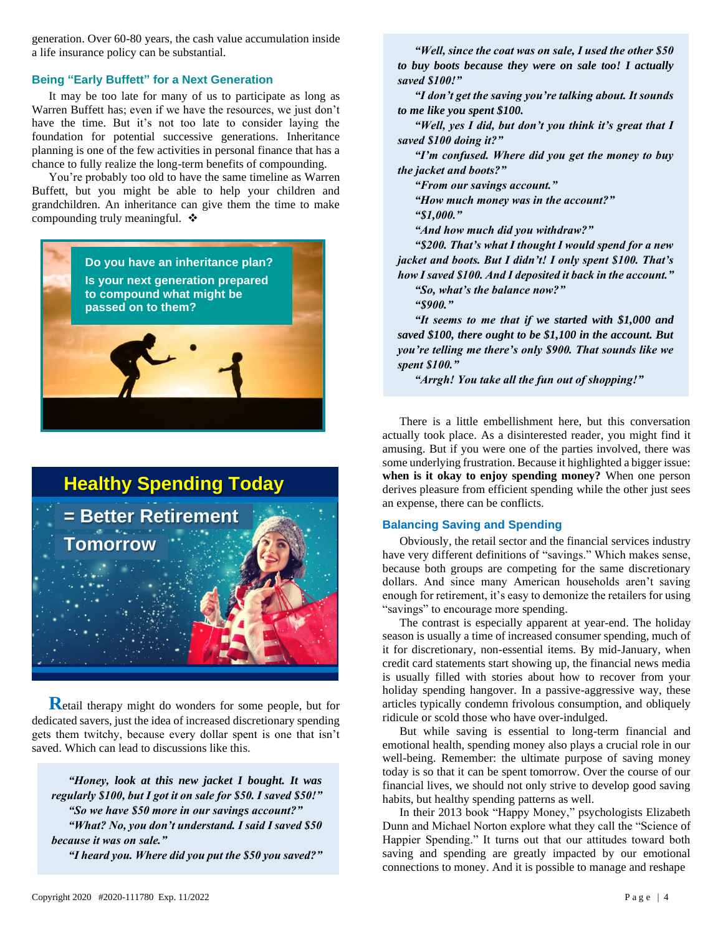generation. Over 60-80 years, the cash value accumulation inside a life insurance policy can be substantial.

#### **Being "Early Buffett" for a Next Generation**

It may be too late for many of us to participate as long as Warren Buffett has; even if we have the resources, we just don't have the time. But it's not too late to consider laying the foundation for potential successive generations. Inheritance planning is one of the few activities in personal finance that has a chance to fully realize the long-term benefits of compounding.

You're probably too old to have the same timeline as Warren Buffett, but you might be able to help your children and grandchildren. An inheritance can give them the time to make compounding truly meaningful. ❖



# **Healthy Spending Today**



**R**etail therapy might do wonders for some people, but for dedicated savers, just the idea of increased discretionary spending gets them twitchy, because every dollar spent is one that isn't saved. Which can lead to discussions like this.

*"Honey, look at this new jacket I bought. It was regularly \$100, but I got it on sale for \$50. I saved \$50!" "So we have \$50 more in our savings account?" "What? No, you don't understand. I said I saved \$50 because it was on sale." "I heard you. Where did you put the \$50 you saved?"*

*"Well, since the coat was on sale, I used the other \$50 to buy boots because they were on sale too! I actually saved \$100!"*

*"I don't get the saving you're talking about. It sounds to me like you spent \$100.*

*"Well, yes I did, but don't you think it's great that I saved \$100 doing it?"*

*"I'm confused. Where did you get the money to buy the jacket and boots?"*

*"From our savings account."*

*"How much money was in the account?" "\$1,000."*

*"And how much did you withdraw?"*

*"\$200. That's what I thought I would spend for a new jacket and boots. But I didn't! I only spent \$100. That's how I saved \$100. And I deposited it back in the account."* 

*"So, what's the balance now?"*

*"\$900."*

*"It seems to me that if we started with \$1,000 and saved \$100, there ought to be \$1,100 in the account. But you're telling me there's only \$900. That sounds like we spent \$100."*

*"Arrgh! You take all the fun out of shopping!"*

There is a little embellishment here, but this conversation actually took place. As a disinterested reader, you might find it amusing. But if you were one of the parties involved, there was some underlying frustration. Because it highlighted a bigger issue: **when is it okay to enjoy spending money?** When one person derives pleasure from efficient spending while the other just sees an expense, there can be conflicts.

#### **Balancing Saving and Spending**

Obviously, the retail sector and the financial services industry have very different definitions of "savings." Which makes sense, because both groups are competing for the same discretionary dollars. And since many American households aren't saving enough for retirement, it's easy to demonize the retailers for using "savings" to encourage more spending.

The contrast is especially apparent at year-end. The holiday season is usually a time of increased consumer spending, much of it for discretionary, non-essential items. By mid-January, when credit card statements start showing up, the financial news media is usually filled with stories about how to recover from your holiday spending hangover. In a passive-aggressive way, these articles typically condemn frivolous consumption, and obliquely ridicule or scold those who have over-indulged.

But while saving is essential to long-term financial and emotional health, spending money also plays a crucial role in our well-being. Remember: the ultimate purpose of saving money today is so that it can be spent tomorrow. Over the course of our financial lives, we should not only strive to develop good saving habits, but healthy spending patterns as well.

In their 2013 book "Happy Money," psychologists Elizabeth Dunn and Michael Norton explore what they call the "Science of Happier Spending." It turns out that our attitudes toward both saving and spending are greatly impacted by our emotional connections to money. And it is possible to manage and reshape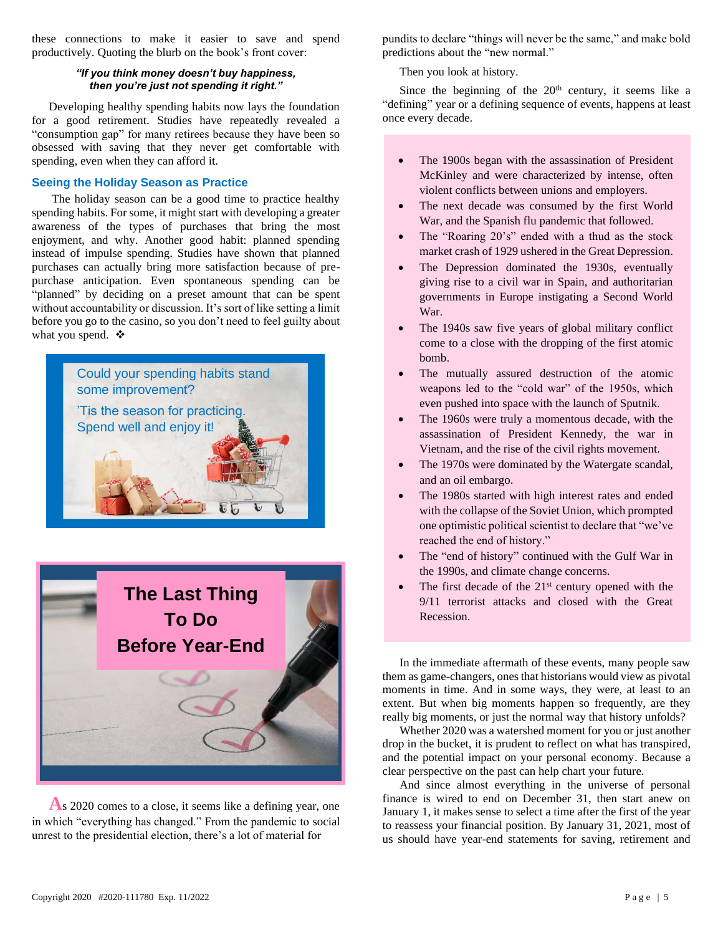these connections to make it easier to save and spend productively. Quoting the blurb on the book's front cover:

#### *"If you think money doesn't buy happiness, then you're just not spending it right."*

Developing healthy spending habits now lays the foundation for a good retirement. Studies have repeatedly revealed a "consumption gap" for many retirees because they have been so obsessed with saving that they never get comfortable with spending, even when they can afford it.

#### **Seeing the Holiday Season as Practice**

The holiday season can be a good time to practice healthy spending habits. For some, it might start with developing a greater awareness of the types of purchases that bring the most enjoyment, and why. Another good habit: planned spending instead of impulse spending. Studies have shown that planned purchases can actually bring more satisfaction because of prepurchase anticipation. Even spontaneous spending can be "planned" by deciding on a preset amount that can be spent without accountability or discussion. It's sort of like setting a limit before you go to the casino, so you don't need to feel guilty about what you spend. ❖





**A**s 2020 comes to a close, it seems like a defining year, one in which "everything has changed." From the pandemic to social unrest to the presidential election, there's a lot of material for

pundits to declare "things will never be the same," and make bold predictions about the "new normal."

Then you look at history.

Since the beginning of the 20<sup>th</sup> century, it seems like a "defining" year or a defining sequence of events, happens at least once every decade.

- The 1900s began with the assassination of President McKinley and were characterized by intense, often violent conflicts between unions and employers.
- The next decade was consumed by the first World War, and the Spanish flu pandemic that followed.
- The "Roaring 20's" ended with a thud as the stock market crash of 1929 ushered in the Great Depression.
- The Depression dominated the 1930s, eventually giving rise to a civil war in Spain, and authoritarian governments in Europe instigating a Second World War.
- The 1940s saw five years of global military conflict come to a close with the dropping of the first atomic bomb.
- The mutually assured destruction of the atomic weapons led to the "cold war" of the 1950s, which even pushed into space with the launch of Sputnik.
- The 1960s were truly a momentous decade, with the assassination of President Kennedy, the war in Vietnam, and the rise of the civil rights movement.
- The 1970s were dominated by the Watergate scandal, and an oil embargo.
- The 1980s started with high interest rates and ended with the collapse of the Soviet Union, which prompted one optimistic political scientist to declare that "we've reached the end of history."
- The "end of history" continued with the Gulf War in the 1990s, and climate change concerns.
- The first decade of the  $21<sup>st</sup>$  century opened with the 9/11 terrorist attacks and closed with the Great Recession.

In the immediate aftermath of these events, many people saw them as game-changers, ones that historians would view as pivotal moments in time. And in some ways, they were, at least to an extent. But when big moments happen so frequently, are they really big moments, or just the normal way that history unfolds?

Whether 2020 was a watershed moment for you or just another drop in the bucket, it is prudent to reflect on what has transpired, and the potential impact on your personal economy. Because a clear perspective on the past can help chart your future.

And since almost everything in the universe of personal finance is wired to end on December 31, then start anew on January 1, it makes sense to select a time after the first of the year to reassess your financial position. By January 31, 2021, most of us should have year-end statements for saving, retirement and